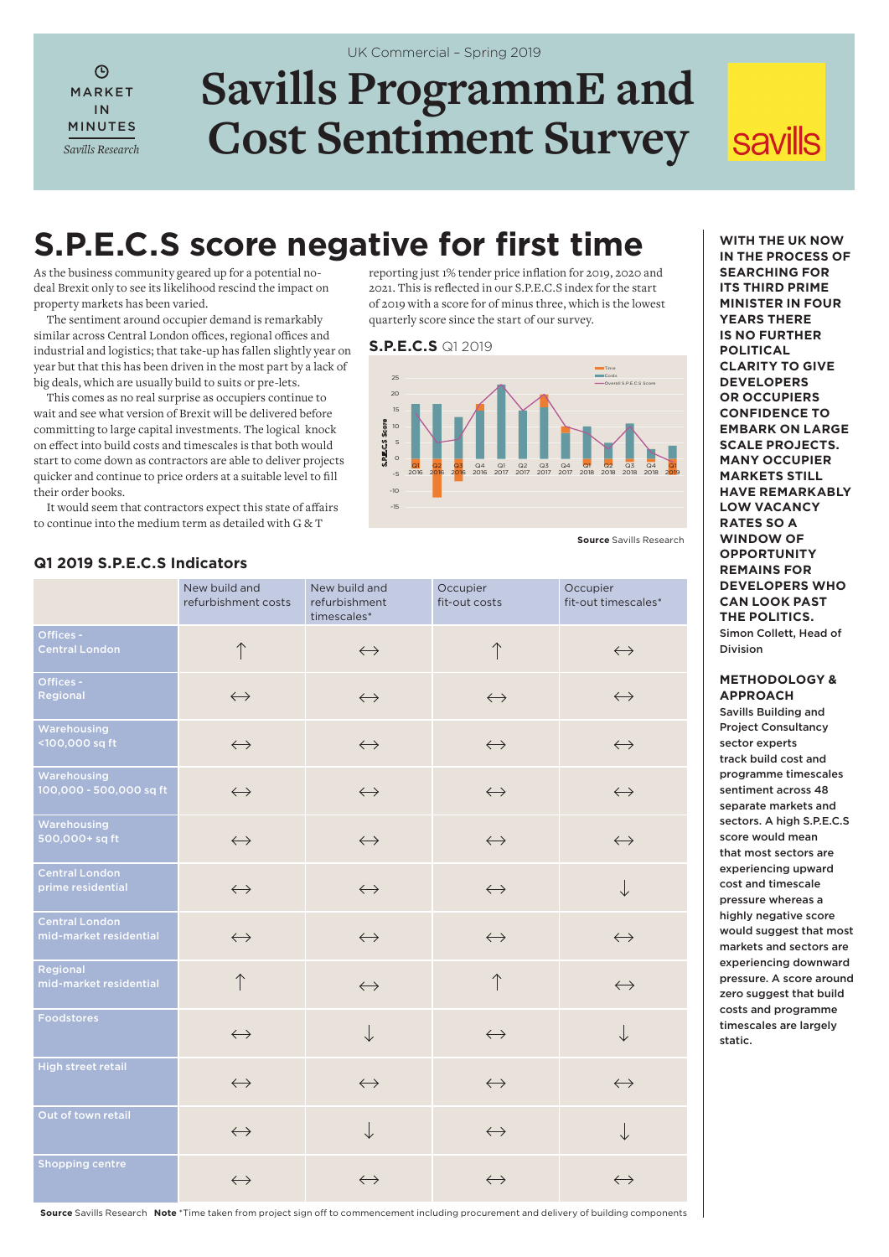$\overline{O}$ MARKET IN MINUTES *Savills Research*

# **Savills ProgrammE and Cost Sentiment Survey** UK Commercial – Spring 2019

# **savills**

# **S.P.E.C.S score negative for first time**

As the business community geared up for a potential nodeal Brexit only to see its likelihood rescind the impact on property markets has been varied.

The sentiment around occupier demand is remarkably similar across Central London offices, regional offices and industrial and logistics; that take-up has fallen slightly year on year but that this has been driven in the most part by a lack of big deals, which are usually build to suits or pre-lets.

This comes as no real surprise as occupiers continue to wait and see what version of Brexit will be delivered before committing to large capital investments. The logical knock on effect into build costs and timescales is that both would start to come down as contractors are able to deliver projects quicker and continue to price orders at a suitable level to fill their order books.

It would seem that contractors expect this state of affairs to continue into the medium term as detailed with G & T

of 2019 with a score for of minus three, which is the lowest quarterly score since the start of our survey. **S.P.E.C.S** Q1 2019  $25$ Time Costs Overall S.P.E.C.S Score

reporting just 1% tender price inflation for 2019, 2020 and 2021. This is reflected in our S.P.E.C.S index for the start



**Source** Savills Research

|                                                 | New build and<br>refurbishment costs | New build and<br>refurbishment<br>timescales* | Occupier<br>fit-out costs | Occupier<br>fit-out timescales* |
|-------------------------------------------------|--------------------------------------|-----------------------------------------------|---------------------------|---------------------------------|
| Offices -<br><b>Central London</b>              |                                      | $\leftrightarrow$                             | $\uparrow$                | $\leftrightarrow$               |
| Offices -<br>Regional                           | $\longleftrightarrow$                | $\leftrightarrow$                             | $\leftrightarrow$         | $\longleftrightarrow$           |
| Warehousing<br><100,000 sq ft                   | $\leftrightarrow$                    | $\leftrightarrow$                             | $\leftrightarrow$         | $\leftrightarrow$               |
| Warehousing<br>100,000 - 500,000 sq ft          | $\leftrightarrow$                    | $\leftrightarrow$                             | $\leftrightarrow$         | $\leftrightarrow$               |
| Warehousing<br>500,000+ sq ft                   | $\longleftrightarrow$                | $\leftrightarrow$                             | $\leftrightarrow$         | $\leftrightarrow$               |
| <b>Central London</b><br>prime residential      | $\leftrightarrow$                    | $\leftrightarrow$                             | $\leftrightarrow$         | $\downarrow$                    |
| <b>Central London</b><br>mid-market residential | $\leftrightarrow$                    | $\leftrightarrow$                             | $\leftrightarrow$         | $\leftrightarrow$               |
| Regional<br>mid-market residential              | $\uparrow$                           | $\longleftrightarrow$                         | $\uparrow$                | $\leftrightarrow$               |
| Foodstores                                      | $\leftrightarrow$                    | $\downarrow$                                  | $\leftrightarrow$         | $\downarrow$                    |
| <b>High street retail</b>                       | $\longleftrightarrow$                | $\leftrightarrow$                             | $\leftrightarrow$         | $\leftrightarrow$               |
| Out of town retail                              | $\longleftrightarrow$                | $\downarrow$                                  | $\leftrightarrow$         | $\downarrow$                    |
| <b>Shopping centre</b>                          | $\longleftrightarrow$                | $\leftrightarrow$                             | $\leftrightarrow$         | $\longleftrightarrow$           |
|                                                 |                                      |                                               |                           |                                 |

## **Q1 2019 S.P.E.C.S Indicators**

**WITH THE UK NOW IN THE PROCESS OF SEARCHING FOR ITS THIRD PRIME MINISTER IN FOUR YEARS THERE IS NO FURTHER POLITICAL CLARITY TO GIVE DEVELOPERS OR OCCUPIERS CONFIDENCE TO EMBARK ON LARGE SCALE PROJECTS. MANY OCCUPIER MARKETS STILL HAVE REMARKABLY LOW VACANCY RATES SO A WINDOW OF OPPORTUNITY REMAINS FOR DEVELOPERS WHO CAN LOOK PAST THE POLITICS.** Simon Collett, Head of Division

### **METHODOLOGY & APPROACH**

Savills Building and Project Consultancy sector experts track build cost and programme timescales sentiment across 48 separate markets and sectors. A high S.P.E.C.S score would mean that most sectors are experiencing upward cost and timescale pressure whereas a highly negative score would suggest that most markets and sectors are experiencing downward pressure. A score around zero suggest that build costs and programme timescales are largely static.

**Source** Savills Research **Note** \*Time taken from project sign off to commencement including procurement and delivery of building components